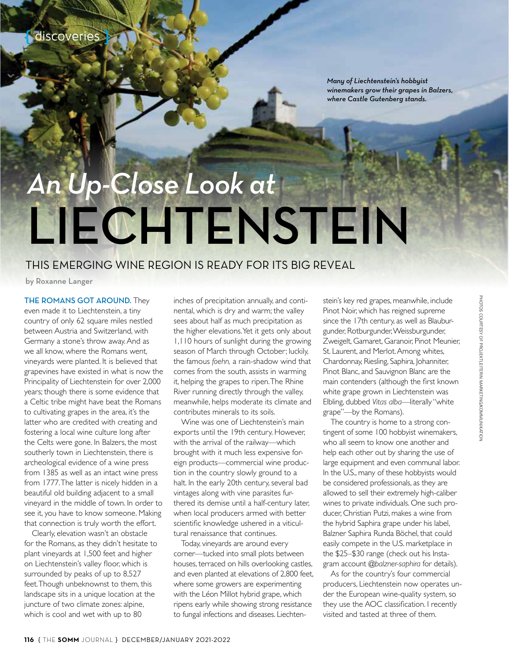*Many of Liechtenstein's hobbyist winemakers grow their grapes in Balzers, where Castle Gutenberg stands.* 

# *An Up-Close Look at* LIECHTENSTEIN

## THIS EMERGING WINE REGION IS READY FOR ITS BIG REVEAL

by Roxanne Langer

THE ROMANS GOT AROUND. They even made it to Liechtenstein, a tiny country of only 62 square miles nestled between Austria and Switzerland, with Germany a stone's throw away. And as we all know, where the Romans went, vineyards were planted. It is believed that grapevines have existed in what is now the Principality of Liechtenstein for over 2,000 years; though there is some evidence that a Celtic tribe might have beat the Romans to cultivating grapes in the area, it's the latter who are credited with creating and fostering a local wine culture long after the Celts were gone. In Balzers, the most southerly town in Liechtenstein, there is archeological evidence of a wine press from 1385 as well as an intact wine press from 1777. The latter is nicely hidden in a beautiful old building adjacent to a small vineyard in the middle of town. In order to see it, you have to know someone. Making that connection is truly worth the effort.

Clearly, elevation wasn't an obstacle for the Romans, as they didn't hesitate to plant vineyards at 1,500 feet and higher on Liechtenstein's valley floor, which is surrounded by peaks of up to 8,527 feet. Though unbeknownst to them, this landscape sits in a unique location at the juncture of two climate zones: alpine, which is cool and wet with up to 80

inches of precipitation annually, and continental, which is dry and warm; the valley sees about half as much precipitation as the higher elevations. Yet it gets only about 1,110 hours of sunlight during the growing season of March through October; luckily, the famous *foehn,* a rain-shadow wind that comes from the south, assists in warming it, helping the grapes to ripen. The Rhine River running directly through the valley, meanwhile, helps moderate its climate and contributes minerals to its soils.

Wine was one of Liechtenstein's main exports until the 19th century. However, with the arrival of the railway—which brought with it much less expensive foreign products—commercial wine production in the country slowly ground to a halt. In the early 20th century, several bad vintages along with vine parasites furthered its demise until a half-century later, when local producers armed with better scientific knowledge ushered in a viticultural renaissance that continues.

Today, vineyards are around every corner—tucked into small plots between houses, terraced on hills overlooking castles, and even planted at elevations of 2,800 feet, where some growers are experimenting with the Léon Millot hybrid grape, which ripens early while showing strong resistance to fungal infections and diseases. Liechten-

stein's key red grapes, meanwhile, include Pinot Noir, which has reigned supreme since the 17th century, as well as Blauburgunder, Rotburgunder, Weissburgunder, Zweigelt, Gamaret, Garanoir, Pinot Meunier, St. Laurent, and Merlot. Among whites, Chardonnay, Riesling, Saphira, Johanniter, Pinot Blanc, and Sauvignon Blanc are the main contenders (although the first known white grape grown in Liechtenstein was Elbling, dubbed *Vitas alba*—literally "white grape"—by the Romans).

The country is home to a strong contingent of some 100 hobbyist winemakers, who all seem to know one another and help each other out by sharing the use of large equipment and even communal labor. In the U.S., many of these hobbyists would be considered professionals, as they are allowed to sell their extremely high-caliber wines to private individuals. One such producer, Christian Putzi, makes a wine from the hybrid Saphira grape under his label, Balzner Saphira Runda Böchel, that could easily compete in the U.S. marketplace in the \$25–\$30 range (check out his Instagram account *@balzner-saphira* for details).

As for the country's four commercial producers, Liechtenstein now operates under the European wine-quality system, so they use the AOC classification. I recently visited and tasted at three of them.